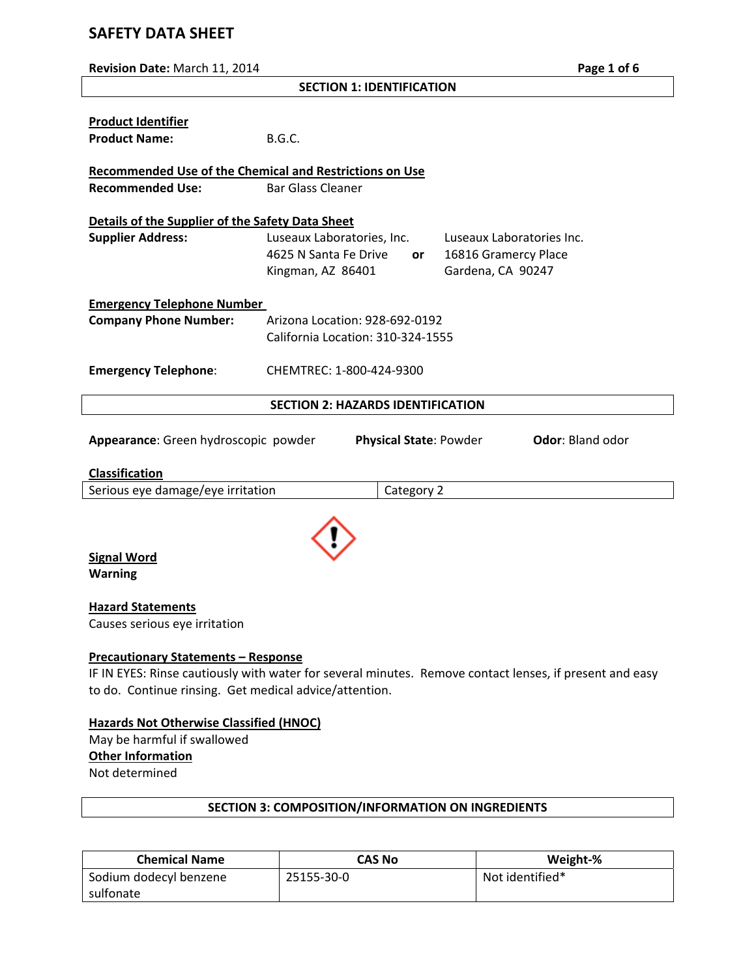# **SAFETY DATA SHEET**

| Revision Date: March 11, 2014                                                                                                                                                                                   |                                                                          |            |                                                                        | Page 1 of 6 |
|-----------------------------------------------------------------------------------------------------------------------------------------------------------------------------------------------------------------|--------------------------------------------------------------------------|------------|------------------------------------------------------------------------|-------------|
|                                                                                                                                                                                                                 | <b>SECTION 1: IDENTIFICATION</b>                                         |            |                                                                        |             |
| <b>Product Identifier</b><br><b>Product Name:</b>                                                                                                                                                               | <b>B.G.C.</b>                                                            |            |                                                                        |             |
| <b>Recommended Use of the Chemical and Restrictions on Use</b><br><b>Recommended Use:</b>                                                                                                                       | <b>Bar Glass Cleaner</b>                                                 |            |                                                                        |             |
| Details of the Supplier of the Safety Data Sheet                                                                                                                                                                |                                                                          |            |                                                                        |             |
| <b>Supplier Address:</b>                                                                                                                                                                                        | Luseaux Laboratories, Inc.<br>4625 N Santa Fe Drive<br>Kingman, AZ 86401 | or         | Luseaux Laboratories Inc.<br>16816 Gramercy Place<br>Gardena, CA 90247 |             |
| <b>Emergency Telephone Number</b>                                                                                                                                                                               |                                                                          |            |                                                                        |             |
| <b>Company Phone Number:</b>                                                                                                                                                                                    | Arizona Location: 928-692-0192<br>California Location: 310-324-1555      |            |                                                                        |             |
| <b>Emergency Telephone:</b>                                                                                                                                                                                     | CHEMTREC: 1-800-424-9300                                                 |            |                                                                        |             |
|                                                                                                                                                                                                                 | <b>SECTION 2: HAZARDS IDENTIFICATION</b>                                 |            |                                                                        |             |
| Appearance: Green hydroscopic powder<br><b>Physical State: Powder</b><br><b>Odor: Bland odor</b>                                                                                                                |                                                                          |            |                                                                        |             |
| <b>Classification</b>                                                                                                                                                                                           |                                                                          |            |                                                                        |             |
| Serious eye damage/eye irritation                                                                                                                                                                               |                                                                          | Category 2 |                                                                        |             |
| <b>Signal Word</b><br><b>Warning</b>                                                                                                                                                                            |                                                                          |            |                                                                        |             |
| <b>Hazard Statements</b><br>Causes serious eye irritation                                                                                                                                                       |                                                                          |            |                                                                        |             |
| <b>Precautionary Statements - Response</b><br>IF IN EYES: Rinse cautiously with water for several minutes. Remove contact lenses, if present and easy<br>to do. Continue rinsing. Get medical advice/attention. |                                                                          |            |                                                                        |             |

# **Hazards Not Otherwise Classified (HNOC)**

May be harmful if swallowed **Other Information** Not determined

| <b>Chemical Name</b>   | CAS No     | Weight-%        |
|------------------------|------------|-----------------|
| Sodium dodecyl benzene | 25155-30-0 | Not identified* |
| sulfonate              |            |                 |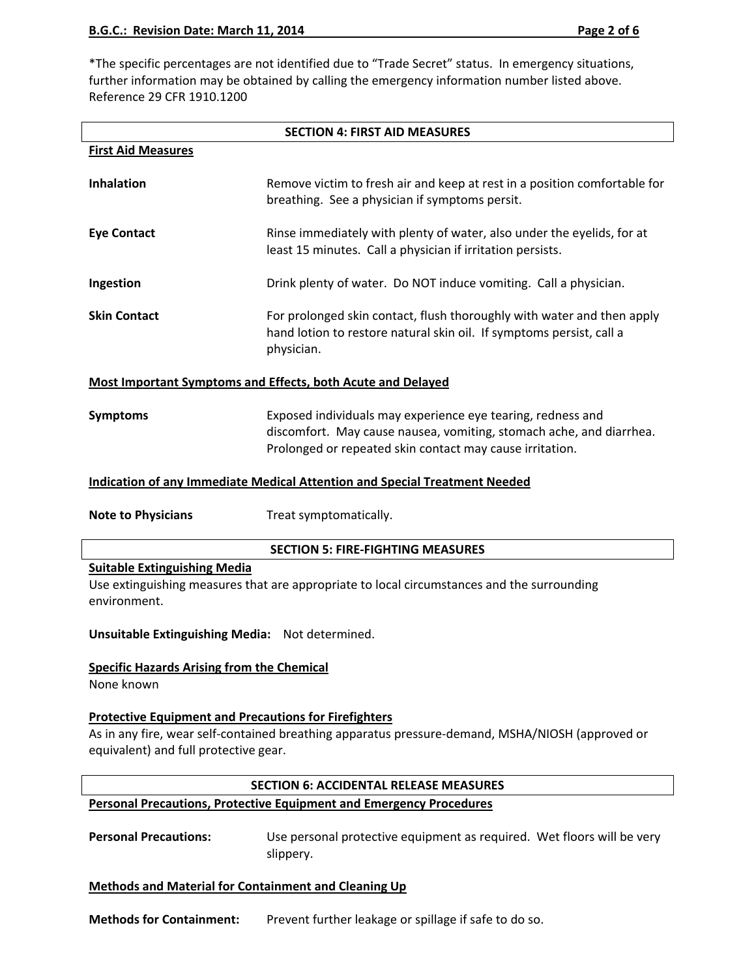\*The specific percentages are not identified due to "Trade Secret" status. In emergency situations, further information may be obtained by calling the emergency information number listed above. Reference 29 CFR 1910.1200

| <b>SECTION 4: FIRST AID MEASURES</b>                                                                                                                                                                      |                                                                                                                                                                                                |  |  |  |
|-----------------------------------------------------------------------------------------------------------------------------------------------------------------------------------------------------------|------------------------------------------------------------------------------------------------------------------------------------------------------------------------------------------------|--|--|--|
| <b>First Aid Measures</b>                                                                                                                                                                                 |                                                                                                                                                                                                |  |  |  |
| <b>Inhalation</b>                                                                                                                                                                                         | Remove victim to fresh air and keep at rest in a position comfortable for<br>breathing. See a physician if symptoms persit.                                                                    |  |  |  |
| <b>Eye Contact</b>                                                                                                                                                                                        | Rinse immediately with plenty of water, also under the eyelids, for at<br>least 15 minutes. Call a physician if irritation persists.                                                           |  |  |  |
| Ingestion                                                                                                                                                                                                 | Drink plenty of water. Do NOT induce vomiting. Call a physician.                                                                                                                               |  |  |  |
| <b>Skin Contact</b>                                                                                                                                                                                       | For prolonged skin contact, flush thoroughly with water and then apply<br>hand lotion to restore natural skin oil. If symptoms persist, call a<br>physician.                                   |  |  |  |
|                                                                                                                                                                                                           | <b>Most Important Symptoms and Effects, both Acute and Delayed</b>                                                                                                                             |  |  |  |
| <b>Symptoms</b>                                                                                                                                                                                           | Exposed individuals may experience eye tearing, redness and<br>discomfort. May cause nausea, vomiting, stomach ache, and diarrhea.<br>Prolonged or repeated skin contact may cause irritation. |  |  |  |
|                                                                                                                                                                                                           | <b>Indication of any Immediate Medical Attention and Special Treatment Needed</b>                                                                                                              |  |  |  |
| <b>Note to Physicians</b>                                                                                                                                                                                 | Treat symptomatically.                                                                                                                                                                         |  |  |  |
|                                                                                                                                                                                                           | <b>SECTION 5: FIRE-FIGHTING MEASURES</b>                                                                                                                                                       |  |  |  |
| <b>Suitable Extinguishing Media</b><br>environment.                                                                                                                                                       | Use extinguishing measures that are appropriate to local circumstances and the surrounding                                                                                                     |  |  |  |
| Unsuitable Extinguishing Media: Not determined.                                                                                                                                                           |                                                                                                                                                                                                |  |  |  |
| <b>Specific Hazards Arising from the Chemical</b><br>None known                                                                                                                                           |                                                                                                                                                                                                |  |  |  |
| <b>Protective Equipment and Precautions for Firefighters</b><br>As in any fire, wear self-contained breathing apparatus pressure-demand, MSHA/NIOSH (approved or<br>equivalent) and full protective gear. |                                                                                                                                                                                                |  |  |  |
| <b>SECTION 6: ACCIDENTAL RELEASE MEASURES</b>                                                                                                                                                             |                                                                                                                                                                                                |  |  |  |
| <b>Personal Precautions, Protective Equipment and Emergency Procedures</b>                                                                                                                                |                                                                                                                                                                                                |  |  |  |
| <b>Personal Precautions:</b>                                                                                                                                                                              | Use personal protective equipment as required. Wet floors will be very<br>slippery.                                                                                                            |  |  |  |
| <b>Methods and Material for Containment and Cleaning Up</b>                                                                                                                                               |                                                                                                                                                                                                |  |  |  |
| <b>Methods for Containment:</b>                                                                                                                                                                           | Prevent further leakage or spillage if safe to do so.                                                                                                                                          |  |  |  |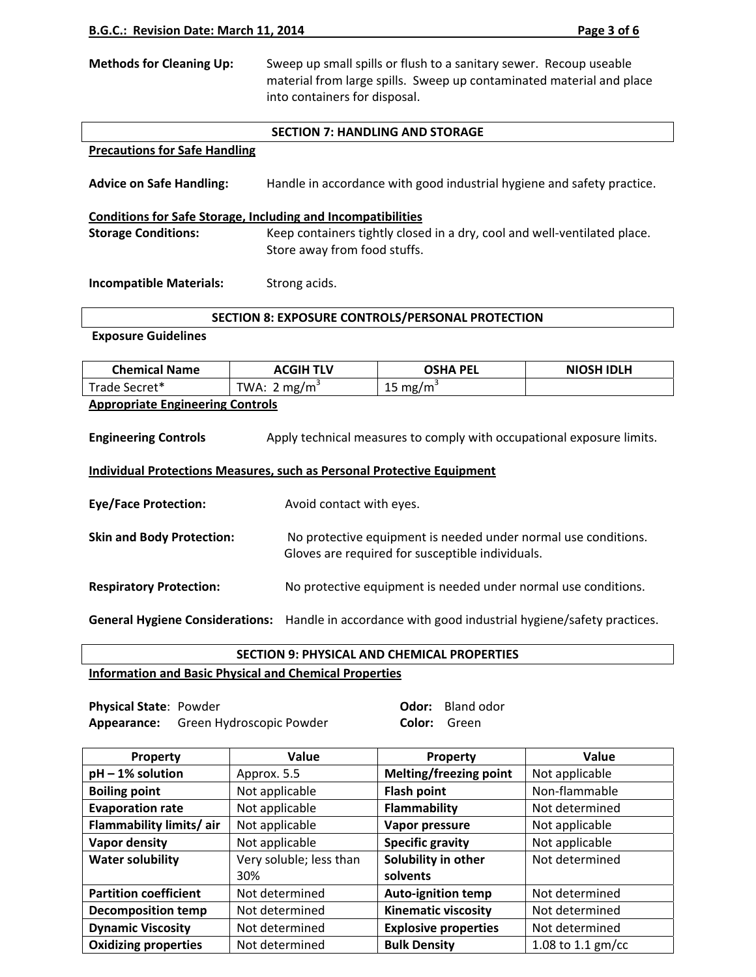| <b>Methods for Cleaning Up:</b> | Sweep up small spills or flush to a sanitary sewer. Recoup useable   |  |  |  |  |
|---------------------------------|----------------------------------------------------------------------|--|--|--|--|
|                                 | material from large spills. Sweep up contaminated material and place |  |  |  |  |
|                                 | into containers for disposal.                                        |  |  |  |  |

#### **SECTION 7: HANDLING AND STORAGE**

# **Precautions for Safe Handling**

**Advice on Safe Handling:** Handle in accordance with good industrial hygiene and safety practice.

# **Conditions for Safe Storage, Including and Incompatibilities Storage Conditions:** Keep containers tightly closed in a dry, cool and well-ventilated place. Store away from food stuffs.

**Incompatible Materials:** Strong acids.

# **SECTION 8: EXPOSURE CONTROLS/PERSONAL PROTECTION**

#### **Exposure Guidelines**

| <b>Chemical Name</b>                                                                                 | <b>ACGIH TLV</b>                                                                                                   | <b>OSHA PEL</b>                                                | <b>NIOSH IDLH</b> |  |  |
|------------------------------------------------------------------------------------------------------|--------------------------------------------------------------------------------------------------------------------|----------------------------------------------------------------|-------------------|--|--|
| Trade Secret*                                                                                        | TWA: $2 \text{ mg/m}^3$                                                                                            | 15 mg/m <sup>3</sup>                                           |                   |  |  |
| <b>Appropriate Engineering Controls</b>                                                              |                                                                                                                    |                                                                |                   |  |  |
| <b>Engineering Controls</b><br>Apply technical measures to comply with occupational exposure limits. |                                                                                                                    |                                                                |                   |  |  |
| Individual Protections Measures, such as Personal Protective Equipment                               |                                                                                                                    |                                                                |                   |  |  |
| <b>Eye/Face Protection:</b>                                                                          | Avoid contact with eyes.                                                                                           |                                                                |                   |  |  |
| <b>Skin and Body Protection:</b>                                                                     | No protective equipment is needed under normal use conditions.<br>Gloves are required for susceptible individuals. |                                                                |                   |  |  |
| <b>Respiratory Protection:</b>                                                                       |                                                                                                                    | No protective equipment is needed under normal use conditions. |                   |  |  |

**General Hygiene Considerations:** Handle in accordance with good industrial hygiene/safety practices.

# **SECTION 9: PHYSICAL AND CHEMICAL PROPERTIES**

# **Information and Basic Physical and Chemical Properties**

**Physical State**: Powder **Odor:** Bland odor Appearance: Green Hydroscopic Powder **Color: Green** 

| <b>Property</b>              | Value                   | Property                      | Value               |
|------------------------------|-------------------------|-------------------------------|---------------------|
| $pH - 1%$ solution           | Approx. 5.5             | <b>Melting/freezing point</b> | Not applicable      |
| <b>Boiling point</b>         | Not applicable          | <b>Flash point</b>            | Non-flammable       |
| <b>Evaporation rate</b>      | Not applicable          | Flammability                  | Not determined      |
| Flammability limits/air      | Not applicable          | Vapor pressure                | Not applicable      |
| Vapor density                | Not applicable          | <b>Specific gravity</b>       | Not applicable      |
| <b>Water solubility</b>      | Very soluble; less than | Solubility in other           | Not determined      |
|                              | 30%                     | solvents                      |                     |
| <b>Partition coefficient</b> | Not determined          | Auto-ignition temp            | Not determined      |
| <b>Decomposition temp</b>    | Not determined          | <b>Kinematic viscosity</b>    | Not determined      |
| <b>Dynamic Viscosity</b>     | Not determined          | <b>Explosive properties</b>   | Not determined      |
| <b>Oxidizing properties</b>  | Not determined          | <b>Bulk Density</b>           | 1.08 to 1.1 $gm/cc$ |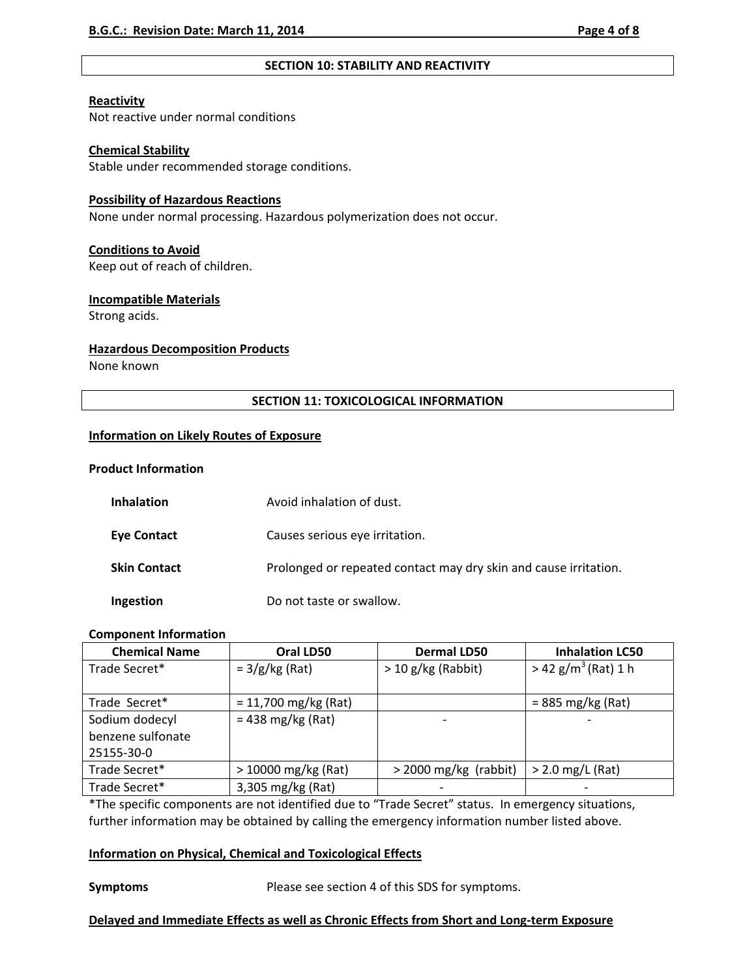#### **SECTION 10: STABILITY AND REACTIVITY**

#### **Reactivity**

Not reactive under normal conditions

### **Chemical Stability**

Stable under recommended storage conditions.

# **Possibility of Hazardous Reactions**

None under normal processing. Hazardous polymerization does not occur.

# **Conditions to Avoid**

Keep out of reach of children.

# **Incompatible Materials**

Strong acids.

# **Hazardous Decomposition Products**

None known

# **SECTION 11: TOXICOLOGICAL INFORMATION**

# **Information on Likely Routes of Exposure**

#### **Product Information**

| <b>Inhalation</b>   | Avoid inhalation of dust.                                        |
|---------------------|------------------------------------------------------------------|
| <b>Eye Contact</b>  | Causes serious eye irritation.                                   |
| <b>Skin Contact</b> | Prolonged or repeated contact may dry skin and cause irritation. |
| Ingestion           | Do not taste or swallow.                                         |

# **Component Information**

| <b>Chemical Name</b> | Oral LD50              | <b>Dermal LD50</b>           | <b>Inhalation LC50</b>            |
|----------------------|------------------------|------------------------------|-----------------------------------|
| Trade Secret*        | $= 3/g/kg (Rat)$       | $>$ 10 g/kg (Rabbit)         | $>$ 42 g/m <sup>3</sup> (Rat) 1 h |
|                      |                        |                              |                                   |
| Trade Secret*        | $= 11,700$ mg/kg (Rat) |                              | $= 885$ mg/kg (Rat)               |
| Sodium dodecyl       | $= 438$ mg/kg (Rat)    |                              |                                   |
| benzene sulfonate    |                        |                              |                                   |
| 25155-30-0           |                        |                              |                                   |
| Trade Secret*        | $>$ 10000 mg/kg (Rat)  | $>$ 2000 mg/kg (rabbit)      | $>$ 2.0 mg/L (Rat)                |
| Trade Secret*        | 3,305 mg/kg (Rat)      | $\qquad \qquad \blacksquare$ |                                   |

\*The specific components are not identified due to "Trade Secret" status. In emergency situations, further information may be obtained by calling the emergency information number listed above.

# **Information on Physical, Chemical and Toxicological Effects**

**Symptoms Example 3** Please see section 4 of this SDS for symptoms.

# **Delayed and Immediate Effects as well as Chronic Effects from Short and Long‐term Exposure**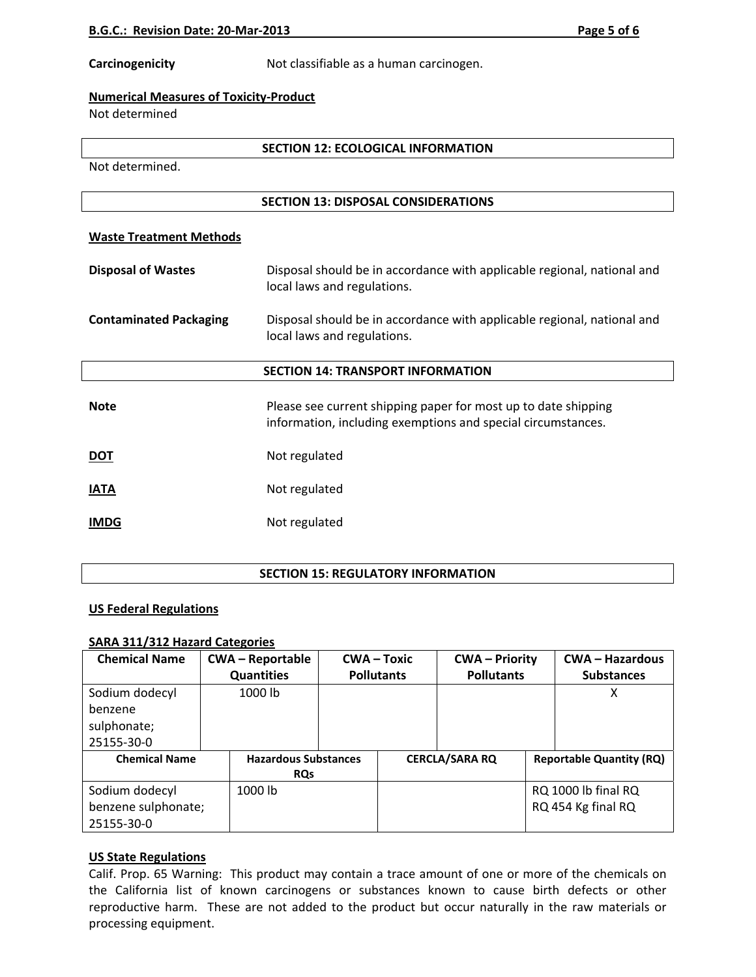**Carcinogenicity 1201** Not classifiable as a human carcinogen.

# **Numerical Measures of Toxicity‐Product**

Not determined

# **SECTION 12: ECOLOGICAL INFORMATION**

Not determined.

# **SECTION 13: DISPOSAL CONSIDERATIONS**

# **Waste Treatment Methods**

| <b>Disposal of Wastes</b>     | Disposal should be in accordance with applicable regional, national and<br>local laws and regulations.                         |
|-------------------------------|--------------------------------------------------------------------------------------------------------------------------------|
| <b>Contaminated Packaging</b> | Disposal should be in accordance with applicable regional, national and<br>local laws and regulations.                         |
|                               | <b>SECTION 14: TRANSPORT INFORMATION</b>                                                                                       |
| <b>Note</b>                   | Please see current shipping paper for most up to date shipping<br>information, including exemptions and special circumstances. |
| <u>DOT</u>                    | Not regulated                                                                                                                  |
| <b>IATA</b>                   | Not regulated                                                                                                                  |

**IMDG** Not regulated

# **SECTION 15: REGULATORY INFORMATION**

# **US Federal Regulations**

# **SARA 311/312 Hazard Categories**

| <b>Chemical Name</b> | <b>CWA-Reportable</b>       | $CWA - Toxic$     |  | <b>CWA – Priority</b> |  | <b>CWA - Hazardous</b>          |
|----------------------|-----------------------------|-------------------|--|-----------------------|--|---------------------------------|
|                      | <b>Quantities</b>           | <b>Pollutants</b> |  | <b>Pollutants</b>     |  | <b>Substances</b>               |
| Sodium dodecyl       | 1000 lb                     |                   |  |                       |  | х                               |
| benzene              |                             |                   |  |                       |  |                                 |
| sulphonate;          |                             |                   |  |                       |  |                                 |
| 25155-30-0           |                             |                   |  |                       |  |                                 |
| <b>Chemical Name</b> | <b>Hazardous Substances</b> |                   |  | <b>CERCLA/SARA RQ</b> |  | <b>Reportable Quantity (RQ)</b> |
|                      | <b>RQs</b>                  |                   |  |                       |  |                                 |
| Sodium dodecyl       | 1000 lb                     |                   |  |                       |  | RQ 1000 lb final RQ             |
| benzene sulphonate;  |                             |                   |  |                       |  | RQ 454 Kg final RQ              |
| 25155-30-0           |                             |                   |  |                       |  |                                 |

# **US State Regulations**

Calif. Prop. 65 Warning: This product may contain a trace amount of one or more of the chemicals on the California list of known carcinogens or substances known to cause birth defects or other reproductive harm. These are not added to the product but occur naturally in the raw materials or processing equipment.